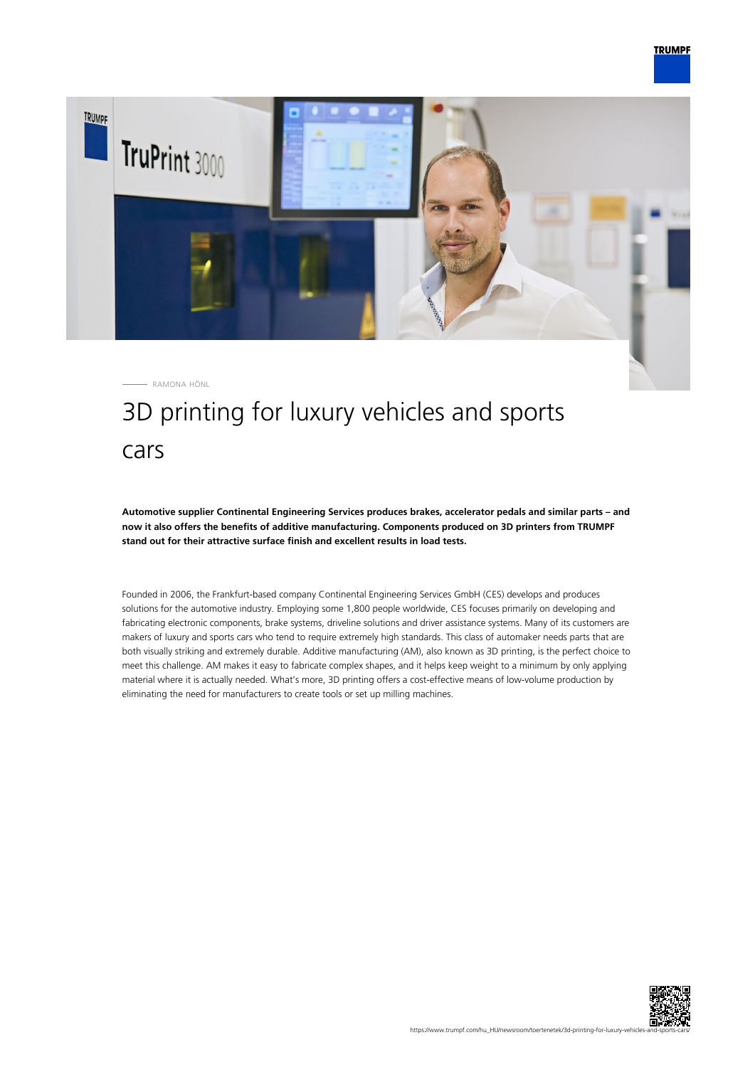

RAMONA HÖNL

# 3D printing for luxury vehicles and sports cars

**Automotive supplier Continental Engineering Services produces brakes, accelerator pedals and similar parts – and now it also offers the benefits of additive manufacturing. Components produced on 3D printers from TRUMPF stand out for their attractive surface finish and excellent results in load tests.**

Founded in 2006, the Frankfurt-based company Continental Engineering Services GmbH (CES) develops and produces solutions for the automotive industry. Employing some 1,800 people worldwide, CES focuses primarily on developing and fabricating electronic components, brake systems, driveline solutions and driver assistance systems. Many of its customers are makers of luxury and sports cars who tend to require extremely high standards. This class of automaker needs parts that are both visually striking and extremely durable. Additive manufacturing (AM), also known as 3D printing, is the perfect choice to meet this challenge. AM makes it easy to fabricate complex shapes, and it helps keep weight to a minimum by only applying material where it is actually needed. What's more, 3D printing offers a cost-effective means of low-volume production by eliminating the need for manufacturers to create tools or set up milling machines.

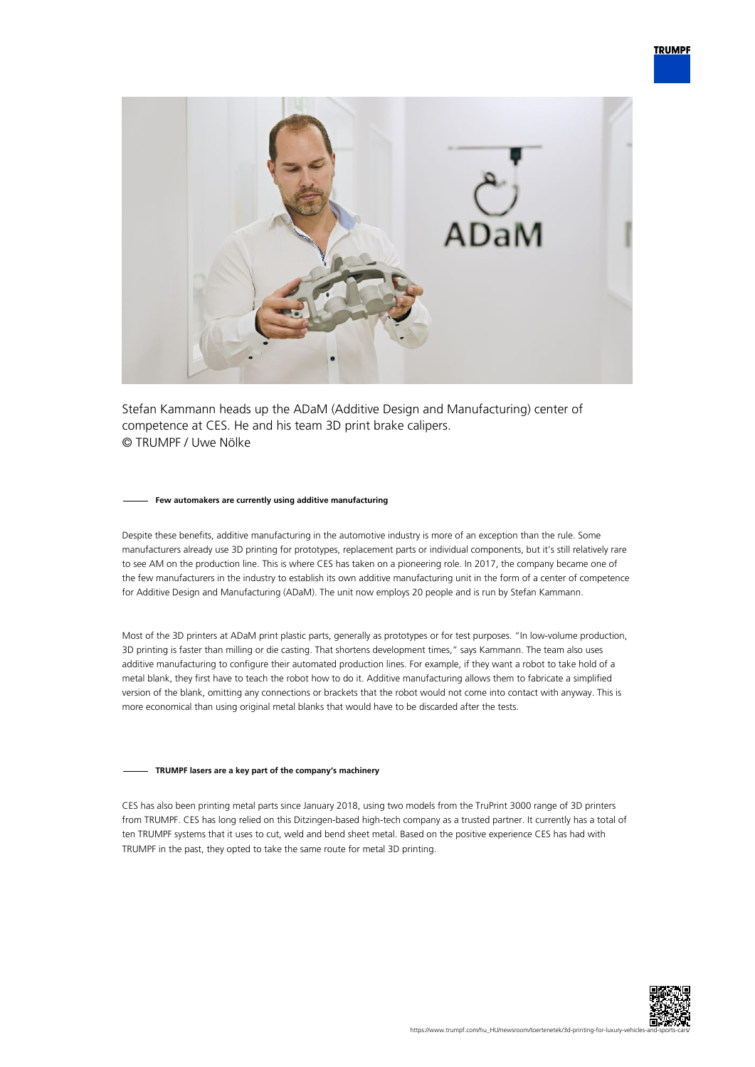

Stefan Kammann heads up the ADaM (Additive Design and Manufacturing) center of competence at CES. He and his team 3D print brake calipers. © TRUMPF / Uwe Nölke

#### **Few automakers are currently using additive manufacturing**

Despite these benefits, additive manufacturing in the automotive industry is more of an exception than the rule. Some manufacturers already use 3D printing for prototypes, replacement parts or individual components, but it's still relatively rare to see AM on the production line. This is where CES has taken on a pioneering role. In 2017, the company became one of the few manufacturers in the industry to establish its own additive manufacturing unit in the form of a center of competence for Additive Design and Manufacturing (ADaM). The unit now employs 20 people and is run by Stefan Kammann.

Most of the 3D printers at ADaM print plastic parts, generally as prototypes or for test purposes. "In low-volume production, 3D printing is faster than milling or die casting. That shortens development times," says Kammann. The team also uses additive manufacturing to configure their automated production lines. For example, if they want a robot to take hold of a metal blank, they first have to teach the robot how to do it. Additive manufacturing allows them to fabricate a simplified version of the blank, omitting any connections or brackets that the robot would not come into contact with anyway. This is more economical than using original metal blanks that would have to be discarded after the tests.

## **TRUMPF lasers are a key part of the company's machinery**

CES has also been printing metal parts since January 2018, using two models from the TruPrint 3000 range of 3D printers from TRUMPF. CES has long relied on this Ditzingen-based high-tech company as a trusted partner. It currently has a total of ten TRUMPF systems that it uses to cut, weld and bend sheet metal. Based on the positive experience CES has had with TRUMPF in the past, they opted to take the same route for metal 3D printing.

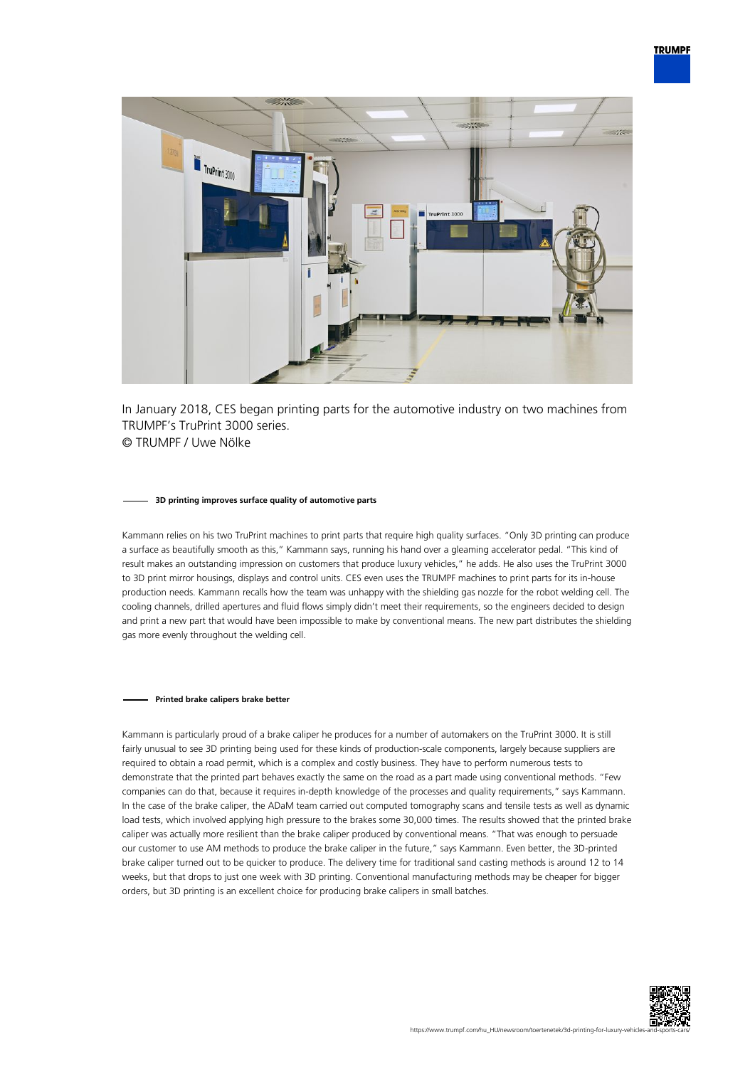

In January 2018, CES began printing parts for the automotive industry on two machines from TRUMPF's TruPrint 3000 series. © TRUMPF / Uwe Nölke

#### **3D printing improves surface quality of automotive parts**

Kammann relies on his two TruPrint machines to print parts that require high quality surfaces. "Only 3D printing can produce a surface as beautifully smooth as this," Kammann says, running his hand over a gleaming accelerator pedal. "This kind of result makes an outstanding impression on customers that produce luxury vehicles," he adds. He also uses the TruPrint 3000 to 3D print mirror housings, displays and control units. CES even uses the TRUMPF machines to print parts for its in-house production needs. Kammann recalls how the team was unhappy with the shielding gas nozzle for the robot welding cell. The cooling channels, drilled apertures and fluid flows simply didn't meet their requirements, so the engineers decided to design and print a new part that would have been impossible to make by conventional means. The new part distributes the shielding gas more evenly throughout the welding cell.

### **Printed brake calipers brake better**

Kammann is particularly proud of a brake caliper he produces for a number of automakers on the TruPrint 3000. It is still fairly unusual to see 3D printing being used for these kinds of production-scale components, largely because suppliers are required to obtain a road permit, which is a complex and costly business. They have to perform numerous tests to demonstrate that the printed part behaves exactly the same on the road as a part made using conventional methods. "Few companies can do that, because it requires in-depth knowledge of the processes and quality requirements," says Kammann. In the case of the brake caliper, the ADaM team carried out computed tomography scans and tensile tests as well as dynamic load tests, which involved applying high pressure to the brakes some 30,000 times. The results showed that the printed brake caliper was actually more resilient than the brake caliper produced by conventional means. "That was enough to persuade our customer to use AM methods to produce the brake caliper in the future," says Kammann. Even better, the 3D-printed brake caliper turned out to be quicker to produce. The delivery time for traditional sand casting methods is around 12 to 14 weeks, but that drops to just one week with 3D printing. Conventional manufacturing methods may be cheaper for bigger orders, but 3D printing is an excellent choice for producing brake calipers in small batches.